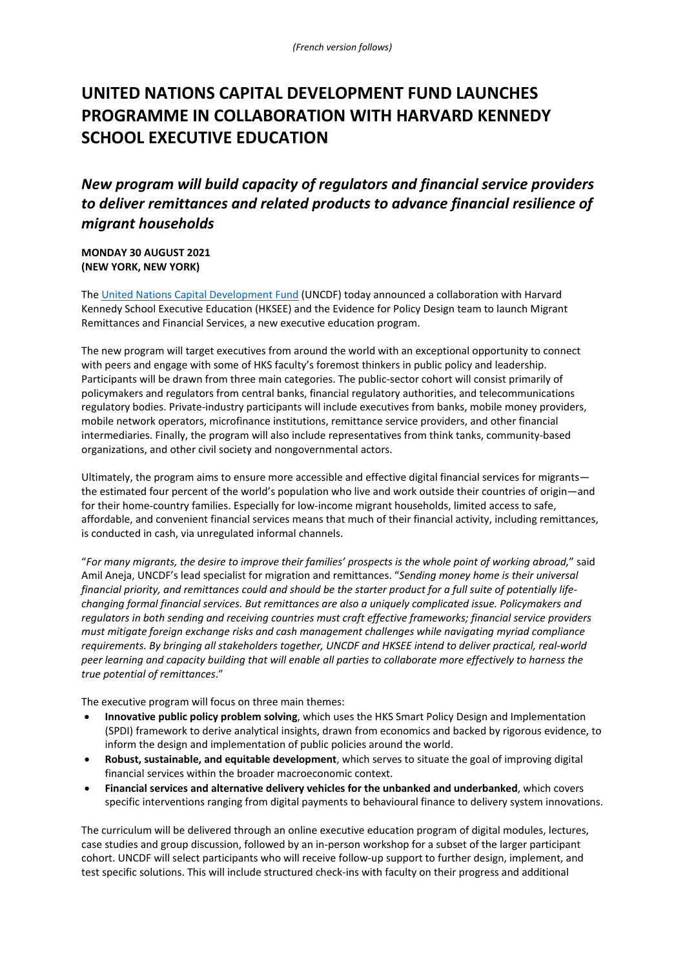# **UNITED NATIONS CAPITAL DEVELOPMENT FUND LAUNCHES PROGRAMME IN COLLABORATION WITH HARVARD KENNEDY SCHOOL EXECUTIVE EDUCATION**

# *New program will build capacity of regulators and financial service providers to deliver remittances and related products to advance financial resilience of migrant households*

**MONDAY 30 AUGUST 2021 (NEW YORK, NEW YORK)** 

The [United Nations Capital Development Fund](https://www.uncdf.org/) (UNCDF) today announced a collaboration with Harvard Kennedy School Executive Education (HKSEE) and the Evidence for Policy Design team to launch Migrant Remittances and Financial Services, a new executive education program.

The new program will target executives from around the world with an exceptional opportunity to connect with peers and engage with some of HKS faculty's foremost thinkers in public policy and leadership. Participants will be drawn from three main categories. The public-sector cohort will consist primarily of policymakers and regulators from central banks, financial regulatory authorities, and telecommunications regulatory bodies. Private-industry participants will include executives from banks, mobile money providers, mobile network operators, microfinance institutions, remittance service providers, and other financial intermediaries. Finally, the program will also include representatives from think tanks, community-based organizations, and other civil society and nongovernmental actors.

Ultimately, the program aims to ensure more accessible and effective digital financial services for migrants the estimated four percent of the world's population who live and work outside their countries of origin—and for their home-country families. Especially for low-income migrant households, limited access to safe, affordable, and convenient financial services means that much of their financial activity, including remittances, is conducted in cash, via unregulated informal channels.

"*For many migrants, the desire to improve their families' prospects is the whole point of working abroad,*" said Amil Aneja, UNCDF's lead specialist for migration and remittances. "*Sending money home is their universal financial priority, and remittances could and should be the starter product for a full suite of potentially lifechanging formal financial services. But remittances are also a uniquely complicated issue. Policymakers and regulators in both sending and receiving countries must craft effective frameworks; financial service providers must mitigate foreign exchange risks and cash management challenges while navigating myriad compliance requirements. By bringing all stakeholders together, UNCDF and HKSEE intend to deliver practical, real-world peer learning and capacity building that will enable all parties to collaborate more effectively to harness the true potential of remittances*."

The executive program will focus on three main themes:

- **Innovative public policy problem solving**, which uses the HKS Smart Policy Design and Implementation (SPDI) framework to derive analytical insights, drawn from economics and backed by rigorous evidence, to inform the design and implementation of public policies around the world.
- **Robust, sustainable, and equitable development**, which serves to situate the goal of improving digital financial services within the broader macroeconomic context.
- **Financial services and alternative delivery vehicles for the unbanked and underbanked**, which covers specific interventions ranging from digital payments to behavioural finance to delivery system innovations.

The curriculum will be delivered through an online executive education program of digital modules, lectures, case studies and group discussion, followed by an in-person workshop for a subset of the larger participant cohort. UNCDF will select participants who will receive follow-up support to further design, implement, and test specific solutions. This will include structured check-ins with faculty on their progress and additional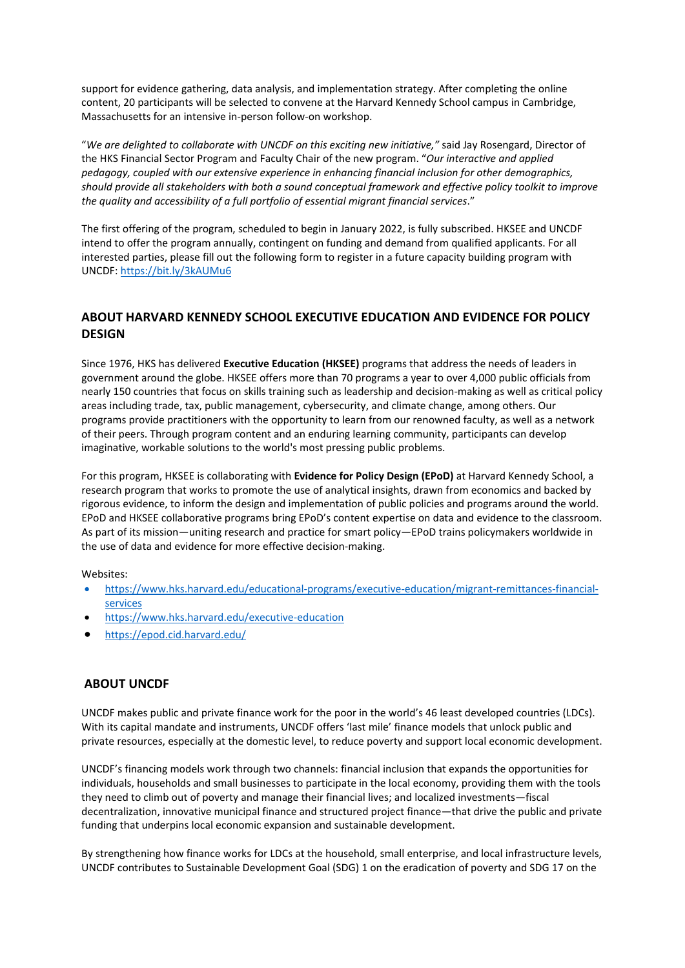support for evidence gathering, data analysis, and implementation strategy. After completing the online content, 20 participants will be selected to convene at the Harvard Kennedy School campus in Cambridge, Massachusetts for an intensive in-person follow-on workshop.

"*We are delighted to collaborate with UNCDF on this exciting new initiative,"* said Jay Rosengard, Director of the HKS Financial Sector Program and Faculty Chair of the new program. "*Our interactive and applied pedagogy, coupled with our extensive experience in enhancing financial inclusion for other demographics, should provide all stakeholders with both a sound conceptual framework and effective policy toolkit to improve the quality and accessibility of a full portfolio of essential migrant financial services*."

The first offering of the program, scheduled to begin in January 2022, is fully subscribed. HKSEE and UNCDF intend to offer the program annually, contingent on funding and demand from qualified applicants. For all interested parties, please fill out the following form to register in a future capacity building program with UNCDF[: https://bit.ly/3kAUMu6](https://bit.ly/3kAUMu6) 

### **ABOUT HARVARD KENNEDY SCHOOL EXECUTIVE EDUCATION AND EVIDENCE FOR POLICY DESIGN**

Since 1976, HKS has delivered **Executive Education (HKSEE)** programs that address the needs of leaders in government around the globe. HKSEE offers more than 70 programs a year to over 4,000 public officials from nearly 150 countries that focus on skills training such as leadership and decision-making as well as critical policy areas including trade, tax, public management, cybersecurity, and climate change, among others. Our programs provide practitioners with the opportunity to learn from our renowned faculty, as well as a network of their peers. Through program content and an enduring learning community, participants can develop imaginative, workable solutions to the world's most pressing public problems.

For this program, HKSEE is collaborating with **Evidence for Policy Design (EPoD)** at Harvard Kennedy School, a research program that works to promote the use of analytical insights, drawn from economics and backed by rigorous evidence, to inform the design and implementation of public policies and programs around the world. EPoD and HKSEE collaborative programs bring EPoD's content expertise on data and evidence to the classroom. As part of its mission—uniting research and practice for smart policy—EPoD trains policymakers worldwide in the use of data and evidence for more effective decision-making.

Websites:

- [https://www.hks.harvard.edu/educational-programs/executive-education/migrant-remittances-financial](https://www.hks.harvard.edu/educational-programs/executive-education/migrant-remittances-financial-services)[services](https://www.hks.harvard.edu/educational-programs/executive-education/migrant-remittances-financial-services)
- <https://www.hks.harvard.edu/executive-education>
- <https://epod.cid.harvard.edu/>

#### **ABOUT UNCDF**

UNCDF makes public and private finance work for the poor in the world's 46 least developed countries (LDCs). With its capital mandate and instruments, UNCDF offers 'last mile' finance models that unlock public and private resources, especially at the domestic level, to reduce poverty and support local economic development.

UNCDF's financing models work through two channels: financial inclusion that expands the opportunities for individuals, households and small businesses to participate in the local economy, providing them with the tools they need to climb out of poverty and manage their financial lives; and localized investments—fiscal decentralization, innovative municipal finance and structured project finance—that drive the public and private funding that underpins local economic expansion and sustainable development.

By strengthening how finance works for LDCs at the household, small enterprise, and local infrastructure levels, UNCDF contributes to Sustainable Development Goal (SDG) 1 on the eradication of poverty and SDG 17 on the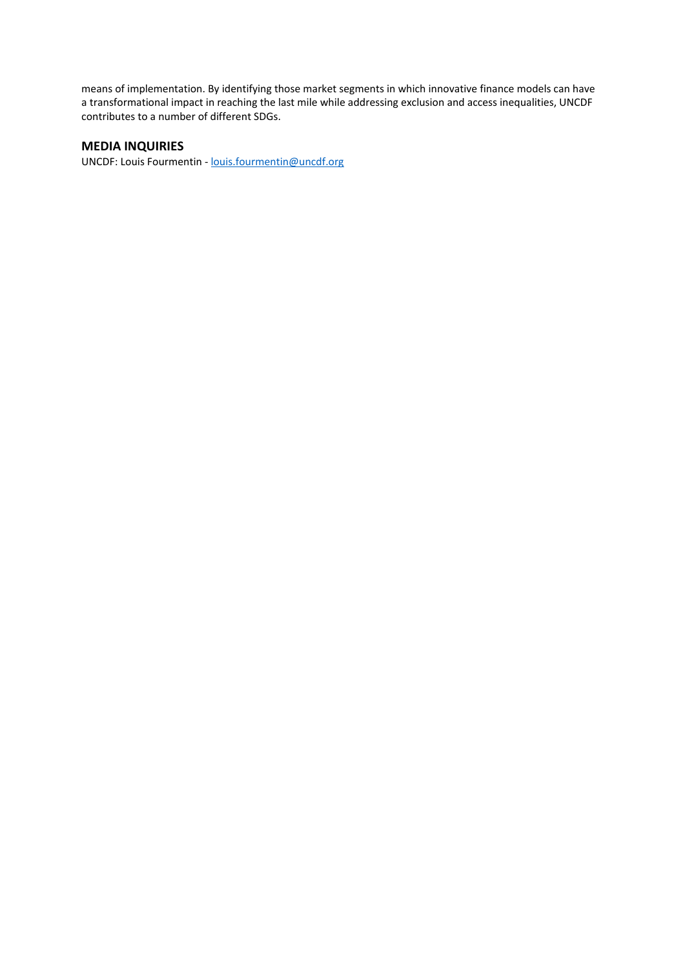means of implementation. By identifying those market segments in which innovative finance models can have a transformational impact in reaching the last mile while addressing exclusion and access inequalities, UNCDF contributes to a number of different SDGs.

#### **MEDIA INQUIRIES**

UNCDF: Louis Fourmentin [- louis.fourmentin@uncdf.org](mailto:louis.fourmentin@uncdf.org)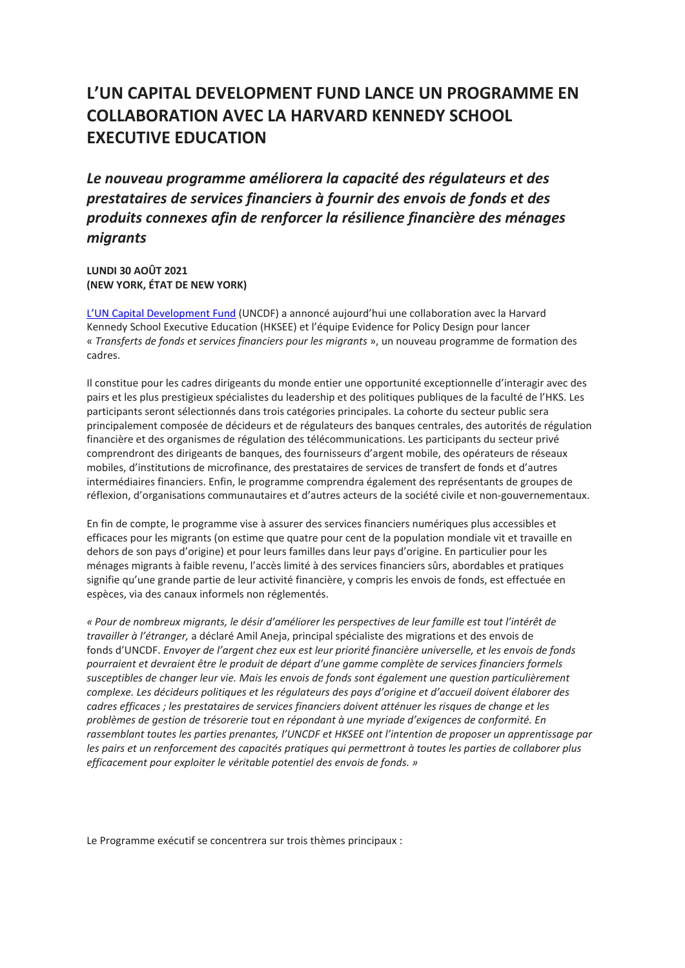# **L'UN CAPITAL DEVELOPMENT FUND LANCE UN PROGRAMME EN COLLABORATION AVEC LA HARVARD KENNEDY SCHOOL EXECUTIVE EDUCATION**

*Le nouveau programme améliorera la capacité des régulateurs et des prestataires de services financiers à fournir des envois de fonds et des produits connexes afin de renforcer la résilience financière des ménages migrants*

**LUNDI 30 AOÛT 2021 (NEW YORK, ÉTAT DE NEW YORK)**

[L'UN Capital Development Fund](https://www.uncdf.org/fr) (UNCDF) a annoncé aujourd'hui une collaboration avec la Harvard Kennedy School Executive Education (HKSEE) et l'équipe Evidence for Policy Design pour lancer « *Transferts de fonds et services financiers pour les migrants* », un nouveau programme de formation des cadres.

Il constitue pour les cadres dirigeants du monde entier une opportunité exceptionnelle d'interagir avec des pairs et les plus prestigieux spécialistes du leadership et des politiques publiques de la faculté de l'HKS. Les participants seront sélectionnés dans trois catégories principales. La cohorte du secteur public sera principalement composée de décideurs et de régulateurs des banques centrales, des autorités de régulation financière et des organismes de régulation des télécommunications. Les participants du secteur privé comprendront des dirigeants de banques, des fournisseurs d'argent mobile, des opérateurs de réseaux mobiles, d'institutions de microfinance, des prestataires de services de transfert de fonds et d'autres intermédiaires financiers. Enfin, le programme comprendra également des représentants de groupes de réflexion, d'organisations communautaires et d'autres acteurs de la société civile et non-gouvernementaux.

En fin de compte, le programme vise à assurer des services financiers numériques plus accessibles et efficaces pour les migrants (on estime que quatre pour cent de la population mondiale vit et travaille en dehors de son pays d'origine) et pour leurs familles dans leur pays d'origine. En particulier pour les ménages migrants à faible revenu, l'accès limité à des services financiers sûrs, abordables et pratiques signifie qu'une grande partie de leur activité financière, y compris les envois de fonds, est effectuée en espèces, via des canaux informels non réglementés.

*« Pour de nombreux migrants, le désir d'améliorer les perspectives de leur famille est tout l'intérêt de travailler à l'étranger,* a déclaré Amil Aneja, principal spécialiste des migrations et des envois de fonds d'UNCDF. *Envoyer de l'argent chez eux est leur priorité financière universelle, et les envois de fonds pourraient et devraient être le produit de départ d'une gamme complète de services financiers formels susceptibles de changer leur vie. Mais les envois de fonds sont également une question particulièrement complexe. Les décideurs politiques et les régulateurs des pays d'origine et d'accueil doivent élaborer des cadres efficaces ; les prestataires de services financiers doivent atténuer les risques de change et les problèmes de gestion de trésorerie tout en répondant à une myriade d'exigences de conformité. En rassemblant toutes les parties prenantes, l'UNCDF et HKSEE ont l'intention de proposer un apprentissage par*  les pairs et un renforcement des capacités pratiques qui permettront à toutes les parties de collaborer plus *efficacement pour exploiter le véritable potentiel des envois de fonds. »*

Le Programme exécutif se concentrera sur trois thèmes principaux :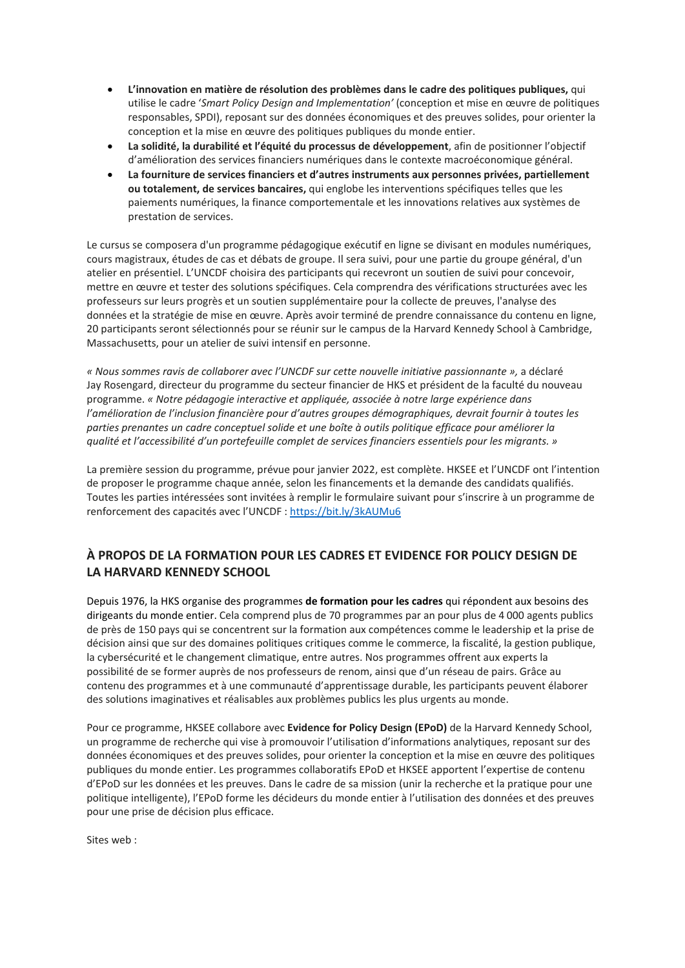- **L'innovation en matière de résolution des problèmes dans le cadre des politiques publiques,** qui utilise le cadre '*Smart Policy Design and Implementation'* (conception et mise en œuvre de politiques responsables, SPDI), reposant sur des données économiques et des preuves solides, pour orienter la conception et la mise en œuvre des politiques publiques du monde entier.
- **La solidité, la durabilité et l'équité du processus de développement**, afin de positionner l'objectif d'amélioration des services financiers numériques dans le contexte macroéconomique général.
- **La fourniture de services financiers et d'autres instruments aux personnes privées, partiellement ou totalement, de services bancaires,** qui englobe les interventions spécifiques telles que les paiements numériques, la finance comportementale et les innovations relatives aux systèmes de prestation de services.

Le cursus se composera d'un programme pédagogique exécutif en ligne se divisant en modules numériques, cours magistraux, études de cas et débats de groupe. Il sera suivi, pour une partie du groupe général, d'un atelier en présentiel. L'UNCDF choisira des participants qui recevront un soutien de suivi pour concevoir, mettre en œuvre et tester des solutions spécifiques. Cela comprendra des vérifications structurées avec les professeurs sur leurs progrès et un soutien supplémentaire pour la collecte de preuves, l'analyse des données et la stratégie de mise en œuvre. Après avoir terminé de prendre connaissance du contenu en ligne, 20 participants seront sélectionnés pour se réunir sur le campus de la Harvard Kennedy School à Cambridge, Massachusetts, pour un atelier de suivi intensif en personne.

*« Nous sommes ravis de collaborer avec l'UNCDF sur cette nouvelle initiative passionnante »,* a déclaré Jay Rosengard, directeur du programme du secteur financier de HKS et président de la faculté du nouveau programme. *« Notre pédagogie interactive et appliquée, associée à notre large expérience dans l'amélioration de l'inclusion financière pour d'autres groupes démographiques, devrait fournir à toutes les parties prenantes un cadre conceptuel solide et une boîte à outils politique efficace pour améliorer la qualité et l'accessibilité d'un portefeuille complet de services financiers essentiels pour les migrants. »*

La première session du programme, prévue pour janvier 2022, est complète. HKSEE et l'UNCDF ont l'intention de proposer le programme chaque année, selon les financements et la demande des candidats qualifiés. Toutes les parties intéressées sont invitées à remplir le formulaire suivant pour s'inscrire à un programme de renforcement des capacités avec l'UNCDF :<https://bit.ly/3kAUMu6>

## **À PROPOS DE LA FORMATION POUR LES CADRES ET EVIDENCE FOR POLICY DESIGN DE LA HARVARD KENNEDY SCHOOL**

Depuis 1976, la HKS organise des programmes **de formation pour les cadres** qui répondent aux besoins des dirigeants du monde entier. Cela comprend plus de 70 programmes par an pour plus de 4 000 agents publics de près de 150 pays qui se concentrent sur la formation aux compétences comme le leadership et la prise de décision ainsi que sur des domaines politiques critiques comme le commerce, la fiscalité, la gestion publique, la cybersécurité et le changement climatique, entre autres. Nos programmes offrent aux experts la possibilité de se former auprès de nos professeurs de renom, ainsi que d'un réseau de pairs. Grâce au contenu des programmes et à une communauté d'apprentissage durable, les participants peuvent élaborer des solutions imaginatives et réalisables aux problèmes publics les plus urgents au monde.

Pour ce programme, HKSEE collabore avec **Evidence for Policy Design (EPoD)** de la Harvard Kennedy School, un programme de recherche qui vise à promouvoir l'utilisation d'informations analytiques, reposant sur des données économiques et des preuves solides, pour orienter la conception et la mise en œuvre des politiques publiques du monde entier. Les programmes collaboratifs EPoD et HKSEE apportent l'expertise de contenu d'EPoD sur les données et les preuves. Dans le cadre de sa mission (unir la recherche et la pratique pour une politique intelligente), l'EPoD forme les décideurs du monde entier à l'utilisation des données et des preuves pour une prise de décision plus efficace.

Sites web :